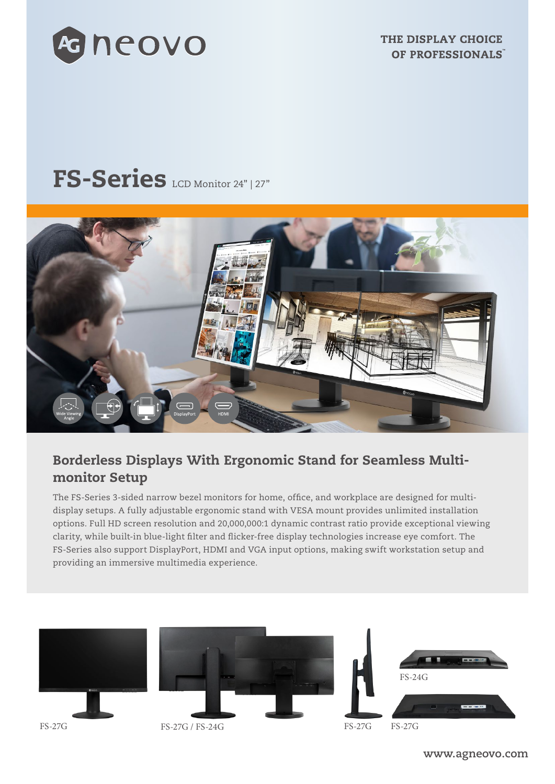

THE DISPLAY CHOICE OF PROFESSIONALS

# FS-Series LCD Monitor 24" | 27"



# Borderless Displays With Ergonomic Stand for Seamless Multimonitor Setup

The FS-Series 3-sided narrow bezel monitors for home, office, and workplace are designed for multidisplay setups. A fully adjustable ergonomic stand with VESA mount provides unlimited installation options. Full HD screen resolution and 20,000,000:1 dynamic contrast ratio provide exceptional viewing clarity, while built-in blue-light filter and flicker-free display technologies increase eye comfort. The FS-Series also support DisplayPort, HDMI and VGA input options, making swift workstation setup and providing an immersive multimedia experience.



**www.agneovo.com**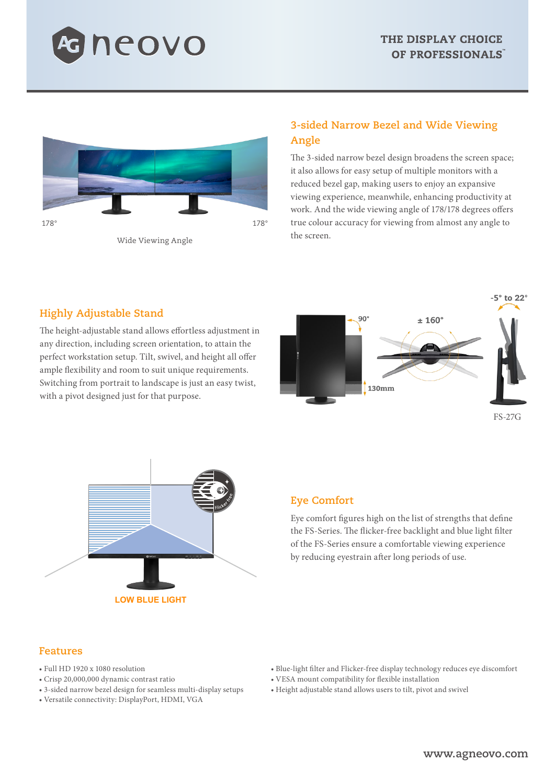



Wide Viewing Angle

### **3-sided Narrow Bezel and Wide Viewing Angle**

The 3-sided narrow bezel design broadens the screen space; it also allows for easy setup of multiple monitors with a reduced bezel gap, making users to enjoy an expansive viewing experience, meanwhile, enhancing productivity at work. And the wide viewing angle of 178/178 degrees offers true colour accuracy for viewing from almost any angle to the screen.

#### **Highly Adjustable Stand**

The height-adjustable stand allows effortless adjustment in any direction, including screen orientation, to attain the perfect workstation setup. Tilt, swivel, and height all offer ample flexibility and room to suit unique requirements. Switching from portrait to landscape is just an easy twist, with a pivot designed just for that purpose.



FS-27G



#### **Eye Comfort**

Eye comfort figures high on the list of strengths that define the FS-Series. The flicker-free backlight and blue light filter of the FS-Series ensure a comfortable viewing experience by reducing eyestrain after long periods of use.

#### **Features**

- Full HD 1920 x 1080 resolution
- Crisp 20,000,000 dynamic contrast ratio
- 3-sided narrow bezel design for seamless multi-display setups
- Versatile connectivity: DisplayPort, HDMI, VGA
- Blue-light filter and Flicker-free display technology reduces eye discomfort
- VESA mount compatibility for flexible installation
- Height adjustable stand allows users to tilt, pivot and swivel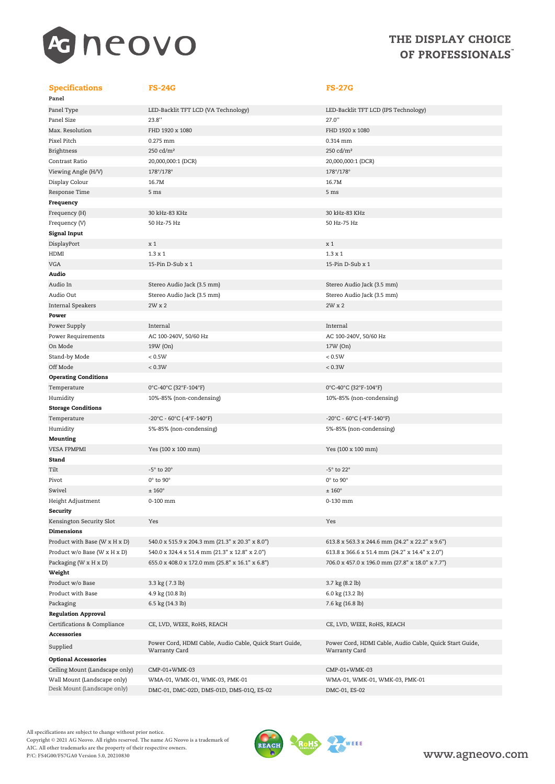

### THE DISPLAY CHOICE OF PROFESSIONALS

#### Specifications FS-24G FS-27G

| Panel                       |
|-----------------------------|
| Panel Type                  |
| Panel Size                  |
| Max. Resolution             |
| Pixel Pitch                 |
| Brightness                  |
| Contrast Ratio              |
| Viewing Angle (H/V)         |
| Display Colour              |
| Response Time               |
| Frequency                   |
| Frequency (H)               |
| Frequency (V)               |
| Signal Input                |
| DisplayPort                 |
| HDMI                        |
| VGA                         |
| Audio                       |
| Audio In                    |
| Audio Out                   |
| Internal Speakers           |
| Power                       |
| Power Supply                |
| Power Requirements          |
| On Mode                     |
| Stand-by Mode               |
| Off Mode                    |
| <b>Operating Conditions</b> |
| Temperature                 |
| Humidity                    |
| <b>Storage Conditions</b>   |
| Temperature                 |
| Humidity                    |
| Mounting                    |
| <b>VESA FPMPMI</b>          |
| Stand                       |
| Tilt                        |
| Pivot                       |
| Swivel                      |
| Height Adjustment           |
| Security                    |
| Kensington Security Slot    |
| <b>Dimensions</b>           |
| Product with Base (W x H    |
| Product w/o Base (W x H x   |
| Packaging (W x H x D)       |
| Weight                      |
| Product w/o Base            |
| Product with Base           |
| Packaging                   |
| <b>Regulation Approval</b>  |
| Certifications & Complian   |
| <b>Accessories</b>          |
|                             |

| Panel Type                    | LED-Backlit TFT LCD (VA Technology)             | LED-Backlit TFT LCD (IPS Technology)   |
|-------------------------------|-------------------------------------------------|----------------------------------------|
| Panel Size                    | 23.8"                                           | 27.0"                                  |
| Max. Resolution               | FHD 1920 x 1080                                 | FHD 1920 x 1080                        |
| Pixel Pitch                   | 0.275 mm                                        | 0.314 mm                               |
| Brightness                    | 250 cd/m <sup>2</sup>                           | 250 cd/m <sup>2</sup>                  |
| Contrast Ratio                | 20,000,000:1 (DCR)                              | 20,000,000:1 (DCR)                     |
| Viewing Angle (H/V)           | 178°/178°                                       | 178°/178°                              |
| Display Colour                | 16.7M                                           | 16.7M                                  |
| Response Time                 | 5 ms                                            | 5 ms                                   |
| Frequency                     |                                                 |                                        |
| Frequency (H)                 | 30 kHz-83 KHz                                   | 30 kHz-83 KHz                          |
| Frequency (V)                 | 50 Hz-75 Hz                                     | 50 Hz-75 Hz                            |
| Signal Input                  |                                                 |                                        |
| DisplayPort                   | x 1                                             | x 1                                    |
| HDMI                          | $1.3 \times 1$                                  | $1.3 \times 1$                         |
| VGA                           | 15-Pin D-Sub x 1                                | 15-Pin D-Sub x 1                       |
| Audio                         |                                                 |                                        |
| Audio In                      | Stereo Audio Jack (3.5 mm)                      | Stereo Audio Jack (3.5 mm)             |
| Audio Out                     | Stereo Audio Jack (3.5 mm)                      | Stereo Audio Jack (3.5 mm)             |
| Internal Speakers             | 2W x 2                                          | 2W x 2                                 |
| Power                         |                                                 |                                        |
| Power Supply                  | Internal                                        | Internal                               |
| Power Requirements            | AC 100-240V, 50/60 Hz                           | AC 100-240V, 50/60 Hz                  |
| On Mode                       | 19W (On)                                        | 17W (On)                               |
| Stand-by Mode                 | < 0.5W                                          | < 0.5W                                 |
| Off Mode                      | < 0.3W                                          | < 0.3W                                 |
| <b>Operating Conditions</b>   |                                                 |                                        |
| Temperature                   | 0°C-40°C (32°F-104°F)                           | 0°C-40°C (32°F-104°F)                  |
| Humidity                      | 10%-85% (non-condensing)                        | 10%-85% (non-condensing)               |
| <b>Storage Conditions</b>     |                                                 |                                        |
| Temperature                   | $-20^{\circ}$ C - 60°C (-4°F-140°F)             | $-20^{\circ}$ C - 60°C (-4°F-140°F)    |
| Humidity                      | 5%-85% (non-condensing)                         | 5%-85% (non-condensing)                |
| Mounting                      |                                                 |                                        |
| VESA FPMPMI                   | Yes (100 x 100 mm)                              | Yes (100 x 100 mm)                     |
| Stand                         |                                                 |                                        |
| Tilt                          | -5° to 20°                                      | -5° to 22°                             |
| Pivot                         | $0^\circ$ to $90^\circ$                         | $0^\circ$ to $90^\circ$                |
| Swivel                        | $±160^{\circ}$                                  | $± 160^{\circ}$                        |
| Height Adjustment             | 0-100 mm                                        | 0-130 mm                               |
| Security                      |                                                 |                                        |
| Kensington Security Slot      | Yes                                             | Yes                                    |
| Dimensions                    |                                                 |                                        |
| Product with Base (W x H x D) | 540.0 x 515.9 x 204.3 mm (21.3" x 20.3" x 8.0") | 613.8 x 563.3 x 244.6 mm (24.2" x 22.2 |

## $(P)$  540.0 x 324.4 x 51.4 mm (21.3" x 12.8" x 2.0 655.0 x 408.0 x 172.0 mm (25.8" x 16.1" x 6.

Optional Accessories Ceiling Mount (Landscape only) CMP-01+WMK-03 CMP-01+WMK-03 Wall Mount (Landscape only) WMA-01, WMK-01, WMK-03, PMK-01 WMA-01, WMK-01, WMK-03, PMK-01 Desk Mount (Landscape only) DMC-01, DMC-02D, DMS-01D, DMS-01Q, ES-02 DMC-01, ES-02

| Panel Type                     | LED-Backlit TFT LCD (VA Technology)                     | LED-Backlit TFT LCD (IPS Technology)                    |
|--------------------------------|---------------------------------------------------------|---------------------------------------------------------|
| Panel Size                     | 23.8"                                                   | 27.0"                                                   |
| Max. Resolution                | FHD 1920 x 1080                                         | FHD 1920 x 1080                                         |
| Pixel Pitch                    | 0.275 mm                                                | 0.314 mm                                                |
| Brightness                     | 250 cd/m <sup>2</sup>                                   | 250 cd/m <sup>2</sup>                                   |
| Contrast Ratio                 | 20,000,000:1 (DCR)                                      | 20,000,000:1 (DCR)                                      |
| Viewing Angle (H/V)            | 178°/178°                                               | 178°/178°                                               |
| Display Colour                 | 16.7M                                                   | 16.7M                                                   |
| Response Time                  | 5 ms                                                    | 5 ms                                                    |
| Frequency                      |                                                         |                                                         |
| Frequency (H)                  | 30 kHz-83 KHz                                           | 30 kHz-83 KHz                                           |
| Frequency (V)                  | 50 Hz-75 Hz                                             | 50 Hz-75 Hz                                             |
| Signal Input                   |                                                         |                                                         |
| DisplayPort                    | x 1                                                     | x 1                                                     |
| HDMI                           | $1.3 \times 1$                                          | $1.3 \times 1$                                          |
| VGA                            | 15-Pin D-Sub x 1                                        | 15-Pin D-Sub x 1                                        |
| Audio                          |                                                         |                                                         |
| Audio In                       | Stereo Audio Jack (3.5 mm)                              | Stereo Audio Jack (3.5 mm)                              |
| Audio Out                      | Stereo Audio Jack (3.5 mm)                              | Stereo Audio Jack (3.5 mm)                              |
| Internal Speakers              | 2W x 2                                                  | 2W x 2                                                  |
| Power                          |                                                         |                                                         |
| Power Supply                   | Internal                                                | Internal                                                |
| Power Requirements             | AC 100-240V, 50/60 Hz                                   | AC 100-240V, 50/60 Hz                                   |
| On Mode                        | 19W (On)                                                | 17W (On)                                                |
| Stand-by Mode                  | < 0.5W                                                  | < 0.5W                                                  |
| Off Mode                       | < 0.3W                                                  | < 0.3W                                                  |
| <b>Operating Conditions</b>    |                                                         |                                                         |
| Temperature                    | 0°C-40°C (32°F-104°F)                                   | 0°C-40°C (32°F-104°F)                                   |
| Humidity                       | 10%-85% (non-condensing)                                | 10%-85% (non-condensing)                                |
| <b>Storage Conditions</b>      |                                                         |                                                         |
| Temperature                    | $-20^{\circ}$ C - 60°C (-4°F-140°F)                     | $-20^{\circ}$ C - 60°C (-4°F-140°F)                     |
| Humidity                       | 5%-85% (non-condensing)                                 | 5%-85% (non-condensing)                                 |
| Mounting                       |                                                         |                                                         |
| VESA FPMPMI                    | Yes (100 x 100 mm)                                      | Yes (100 x 100 mm)                                      |
| Stand                          |                                                         |                                                         |
| Tilt                           | $-5^\circ$ to 20 $^\circ$                               | $-5^\circ$ to 22 $^\circ$                               |
| Pivot                          | 0° to 90°                                               | $0^\circ$ to $90^\circ$                                 |
| Swivel                         | $± 160^{\circ}$                                         | $± 160^{\circ}$                                         |
| Height Adjustment              | 0-100 mm                                                | 0-130 mm                                                |
| Security                       |                                                         |                                                         |
| Kensington Security Slot       | Yes                                                     | Yes                                                     |
| Dimensions                     |                                                         |                                                         |
| Product with Base (W x H x D)  | 540.0 x 515.9 x 204.3 mm (21.3" x 20.3" x 8.0")         | 613.8 x 563.3 x 244.6 mm (24.2" x 22.2" x 9.6")         |
| Product w/o Base (W x H x D)   | 540.0 x 324.4 x 51.4 mm (21.3" x 12.8" x 2.0")          | 613.8 x 366.6 x 51.4 mm (24.2" x 14.4" x 2.0")          |
| Packaging (W x H x D)          | 655.0 x 408.0 x 172.0 mm (25.8" x 16.1" x 6.8")         | 706.0 x 457.0 x 196.0 mm (27.8" x 18.0" x 7.7")         |
| Weight                         |                                                         |                                                         |
| Product w/o Base               | 3.3 kg (7.3 lb)                                         | 3.7 kg (8.2 lb)                                         |
| Product with Base              | 4.9 kg (10.8 lb)                                        | 6.0 kg (13.2 lb)                                        |
| Packaging                      | 6.5 kg (14.3 lb)                                        | 7.6 kg (16.8 lb)                                        |
| <b>Regulation Approval</b>     |                                                         |                                                         |
| Certifications & Compliance    | CE, LVD, WEEE, RoHS, REACH                              | CE, LVD, WEEE, RoHS, REACH                              |
| Accessories                    |                                                         |                                                         |
| Supplied                       | Power Cord, HDMI Cable, Audio Cable, Quick Start Guide, | Power Cord, HDMI Cable, Audio Cable, Quick Start Guide, |
|                                | Warranty Card                                           | Warranty Card                                           |
| <b>Optional Accessories</b>    |                                                         |                                                         |
| Ceiling Mount (Landscape only) | CMP-01+WMK-03                                           | CMP-01+WMK-03                                           |
| Wall Mount (Landscane only)    | WMA-01 WMK-01 WMK-03 PMK-01                             | WMA-01 WMK-01 WMK-03 PMK-01                             |